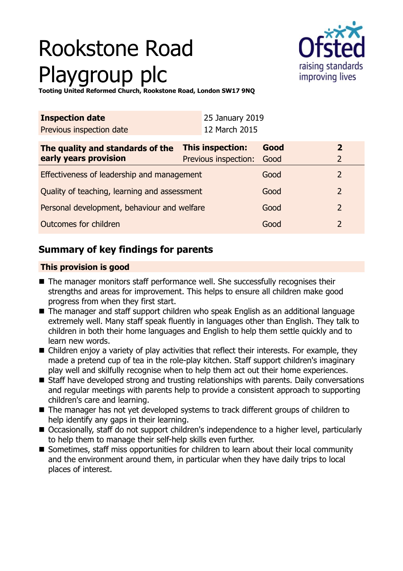# Rookstone Road Playgroup plc



**Tooting United Reformed Church, Rookstone Road, London SW17 9NQ**

| <b>Inspection date</b>                                    |                                          | 25 January 2019 |                |
|-----------------------------------------------------------|------------------------------------------|-----------------|----------------|
| Previous inspection date                                  | 12 March 2015                            |                 |                |
| The quality and standards of the<br>early years provision | This inspection:<br>Previous inspection: | Good<br>Good    | $\overline{2}$ |
| Effectiveness of leadership and management                |                                          | Good            |                |
| Quality of teaching, learning and assessment              |                                          | Good            | 2              |
| Personal development, behaviour and welfare               |                                          | Good            | $\overline{2}$ |
| Outcomes for children                                     |                                          | Good            | 2              |

## **Summary of key findings for parents**

## **This provision is good**

- The manager monitors staff performance well. She successfully recognises their strengths and areas for improvement. This helps to ensure all children make good progress from when they first start.
- The manager and staff support children who speak English as an additional language extremely well. Many staff speak fluently in languages other than English. They talk to children in both their home languages and English to help them settle quickly and to learn new words.
- $\blacksquare$  Children enjoy a variety of play activities that reflect their interests. For example, they made a pretend cup of tea in the role-play kitchen. Staff support children's imaginary play well and skilfully recognise when to help them act out their home experiences.
- $\blacksquare$  Staff have developed strong and trusting relationships with parents. Daily conversations and regular meetings with parents help to provide a consistent approach to supporting children's care and learning.
- The manager has not yet developed systems to track different groups of children to help identify any gaps in their learning.
- Occasionally, staff do not support children's independence to a higher level, particularly to help them to manage their self-help skills even further.
- Sometimes, staff miss opportunities for children to learn about their local community and the environment around them, in particular when they have daily trips to local places of interest.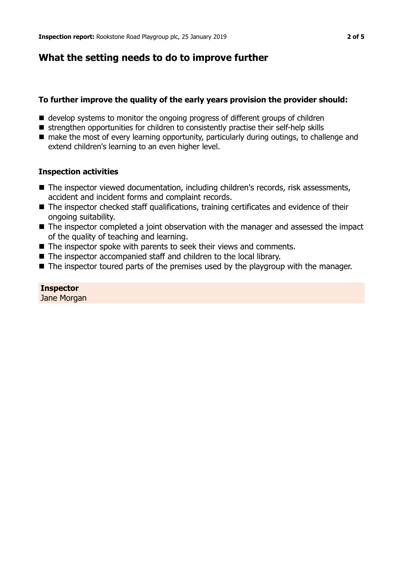## **What the setting needs to do to improve further**

## **To further improve the quality of the early years provision the provider should:**

- develop systems to monitor the ongoing progress of different groups of children
- $\blacksquare$  strengthen opportunities for children to consistently practise their self-help skills
- $\blacksquare$  make the most of every learning opportunity, particularly during outings, to challenge and extend children's learning to an even higher level.

## **Inspection activities**

- The inspector viewed documentation, including children's records, risk assessments, accident and incident forms and complaint records.
- The inspector checked staff qualifications, training certificates and evidence of their ongoing suitability.
- $\blacksquare$  The inspector completed a joint observation with the manager and assessed the impact of the quality of teaching and learning.
- $\blacksquare$  The inspector spoke with parents to seek their views and comments.
- The inspector accompanied staff and children to the local library.
- $\blacksquare$  The inspector toured parts of the premises used by the playgroup with the manager.

## **Inspector**

Jane Morgan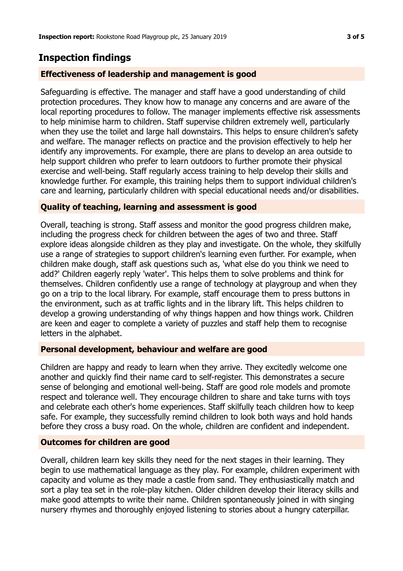## **Inspection findings**

## **Effectiveness of leadership and management is good**

Safeguarding is effective. The manager and staff have a good understanding of child protection procedures. They know how to manage any concerns and are aware of the local reporting procedures to follow. The manager implements effective risk assessments to help minimise harm to children. Staff supervise children extremely well, particularly when they use the toilet and large hall downstairs. This helps to ensure children's safety and welfare. The manager reflects on practice and the provision effectively to help her identify any improvements. For example, there are plans to develop an area outside to help support children who prefer to learn outdoors to further promote their physical exercise and well-being. Staff regularly access training to help develop their skills and knowledge further. For example, this training helps them to support individual children's care and learning, particularly children with special educational needs and/or disabilities.

## **Quality of teaching, learning and assessment is good**

Overall, teaching is strong. Staff assess and monitor the good progress children make, including the progress check for children between the ages of two and three. Staff explore ideas alongside children as they play and investigate. On the whole, they skilfully use a range of strategies to support children's learning even further. For example, when children make dough, staff ask questions such as, 'what else do you think we need to add?' Children eagerly reply 'water'. This helps them to solve problems and think for themselves. Children confidently use a range of technology at playgroup and when they go on a trip to the local library. For example, staff encourage them to press buttons in the environment, such as at traffic lights and in the library lift. This helps children to develop a growing understanding of why things happen and how things work. Children are keen and eager to complete a variety of puzzles and staff help them to recognise letters in the alphabet.

## **Personal development, behaviour and welfare are good**

Children are happy and ready to learn when they arrive. They excitedly welcome one another and quickly find their name card to self-register. This demonstrates a secure sense of belonging and emotional well-being. Staff are good role models and promote respect and tolerance well. They encourage children to share and take turns with toys and celebrate each other's home experiences. Staff skilfully teach children how to keep safe. For example, they successfully remind children to look both ways and hold hands before they cross a busy road. On the whole, children are confident and independent.

## **Outcomes for children are good**

Overall, children learn key skills they need for the next stages in their learning. They begin to use mathematical language as they play. For example, children experiment with capacity and volume as they made a castle from sand. They enthusiastically match and sort a play tea set in the role-play kitchen. Older children develop their literacy skills and make good attempts to write their name. Children spontaneously joined in with singing nursery rhymes and thoroughly enjoyed listening to stories about a hungry caterpillar.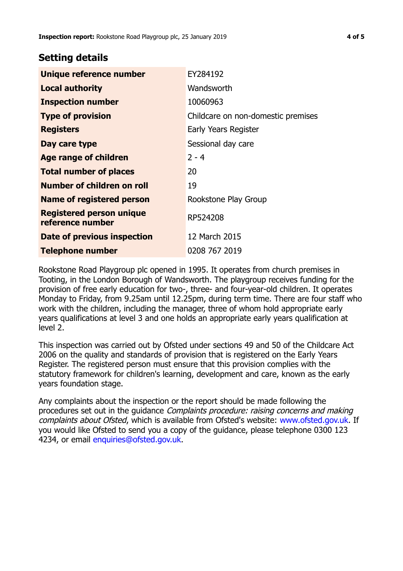## **Setting details**

| Unique reference number                             | EY284192                           |
|-----------------------------------------------------|------------------------------------|
| <b>Local authority</b>                              | Wandsworth                         |
| <b>Inspection number</b>                            | 10060963                           |
| <b>Type of provision</b>                            | Childcare on non-domestic premises |
| <b>Registers</b>                                    | Early Years Register               |
| Day care type                                       | Sessional day care                 |
| <b>Age range of children</b>                        | $2 - 4$                            |
| <b>Total number of places</b>                       | 20                                 |
| Number of children on roll                          | 19                                 |
| <b>Name of registered person</b>                    | Rookstone Play Group               |
| <b>Registered person unique</b><br>reference number | RP524208                           |
| Date of previous inspection                         | 12 March 2015                      |
| <b>Telephone number</b>                             | 0208 767 2019                      |

Rookstone Road Playgroup plc opened in 1995. It operates from church premises in Tooting, in the London Borough of Wandsworth. The playgroup receives funding for the provision of free early education for two-, three- and four-year-old children. It operates Monday to Friday, from 9.25am until 12.25pm, during term time. There are four staff who work with the children, including the manager, three of whom hold appropriate early years qualifications at level 3 and one holds an appropriate early years qualification at level 2.

This inspection was carried out by Ofsted under sections 49 and 50 of the Childcare Act 2006 on the quality and standards of provision that is registered on the Early Years Register. The registered person must ensure that this provision complies with the statutory framework for children's learning, development and care, known as the early years foundation stage.

Any complaints about the inspection or the report should be made following the procedures set out in the guidance Complaints procedure: raising concerns and making complaints about Ofsted, which is available from Ofsted's website: www.ofsted.gov.uk. If you would like Ofsted to send you a copy of the guidance, please telephone 0300 123 4234, or email [enquiries@ofsted.gov.uk.](mailto:enquiries@ofsted.gov.uk)